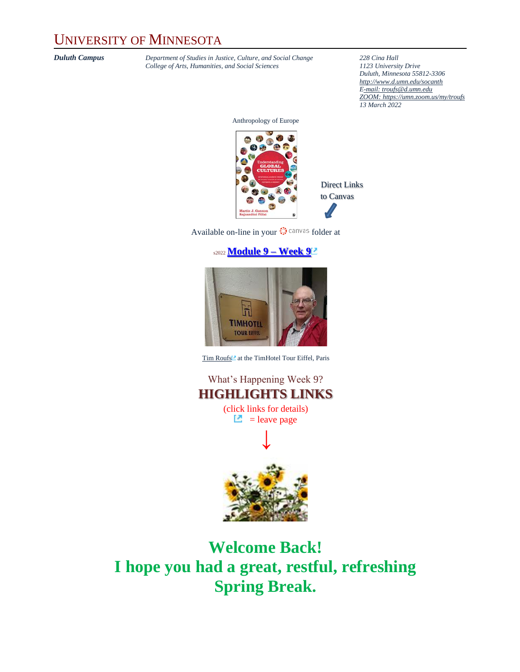### UNIVERSITY OF MINNESOTA

*Duluth Campus Department of Studies in Justice, Culture, and Social Change* **228** *Cina Hall College of Arts, Humanities, and Social Sciences 1123 University Drive College of Arts, Humanities, and Social Sciences 1123 University Drive*

*Duluth, Minnesota 55812-3306 <http://www.d.umn.edu/socanth> E-mail: [troufs@d.umn.edu](mailto:troufs@d.umn.edu) ZOOM[: https://umn.zoom.us/my/troufs](https://umn.zoom.us/my/troufs) 13 March 2022*

Anthropology of Europe



Direct Links to Canvas

Available on-line in your  $\bigcirc$  canvas folder at

#### s2022 **[Module 9](https://canvas.umn.edu/courses/282731/modules/945922) – Week 9**



[Tim Roufs](http://www.d.umn.edu/~troufs/#title)<sup>2</sup> at the TimHotel Tour Eiffel, Paris

What's Happening Week 9? **HIGHLIGHTS LINKS** (click links for details)

 $\Box$  = leave page



**Welcome Back! I hope you had a great, restful, refreshing Spring Break.**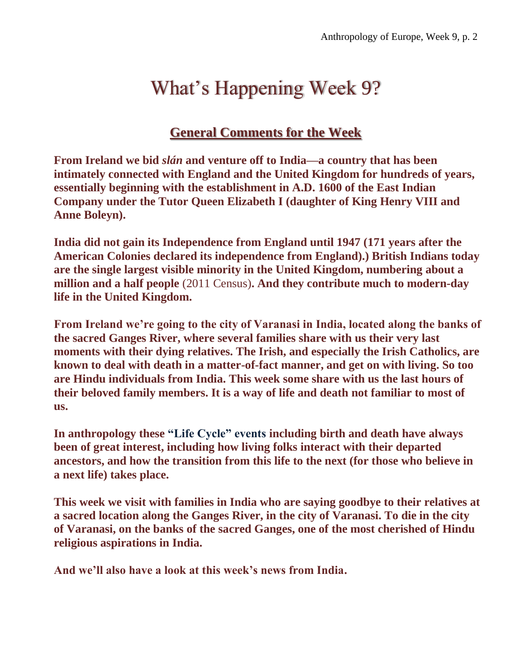# What's Happening Week 9?

### **[General Comments for the Week](#page-4-0)**

**From Ireland we bid** *slán* **and venture off to India—a country that has been intimately connected with England and the United Kingdom for hundreds of years, essentially beginning with the establishment in A.D. 1600 of the East Indian Company under the Tutor Queen Elizabeth I (daughter of King Henry VIII and Anne Boleyn).**

**India did not gain its Independence from England until 1947 (171 years after the American Colonies declared its independence from England).) British Indians today are the single largest visible minority in the United Kingdom, numbering about a million and a half people** (2011 Census)**. And they contribute much to modern-day life in the United Kingdom.**

**From Ireland we're going to the city of Varanasi in India, located along the banks of the sacred Ganges River, where several families share with us their very last moments with their dying relatives. The Irish, and especially the Irish Catholics, are known to deal with death in a matter-of-fact manner, and get on with living. So too are Hindu individuals from India. This week some share with us the last hours of their beloved family members. It is a way of life and death not familiar to most of us.**

**In anthropology these "Life Cycle" events including birth and death have always been of great interest, including how living folks interact with their departed ancestors, and how the transition from this life to the next (for those who believe in a next life) takes place.** 

**This week we visit with families in India who are saying goodbye to their relatives at a sacred location along the Ganges River, in the city of Varanasi. To die in the city of Varanasi, on the banks of the sacred Ganges, one of the most cherished of Hindu religious aspirations in India.**

**And we'll also have a look at this week's news from India.**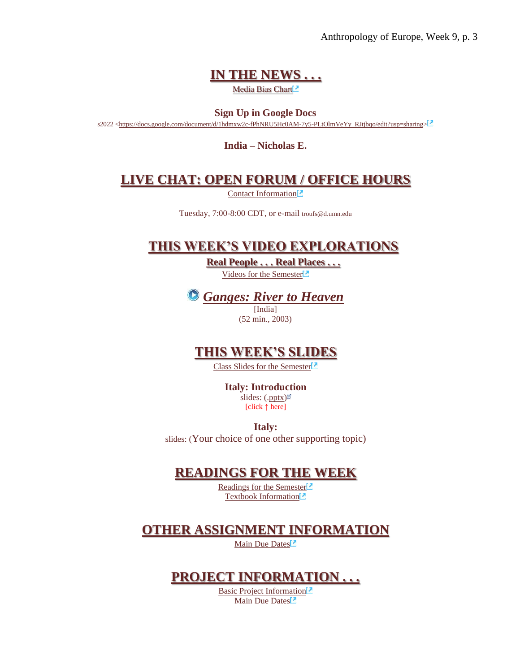Anthropology of Europe, Week 9, p. 3

### **[IN THE NEWS . . .](#page-5-0)**

Media Bias Chart<sup>2</sup>

#### **Sign Up in Google Docs**

s2022 [<https://docs.google.com/document/d/1hdmxw2c-fPhNRU5Hc0AM-7y5-PLtOlmVeYy\\_RJtjbqo/edit?usp=sharing>](https://docs.google.com/document/d/1hdmxw2c-fPhNRU5Hc0AM-7y5-PLtOlmVeYy_RJtjbqo/edit?usp=sharing)

**India – Nicholas E.**

#### **[LIVE CHAT: OPEN FORUM / OFFICE HOURS](#page-5-1)**

[Contact Information](http://www.d.umn.edu/cla/faculty/troufs/anth1602/pcoffice.html#title)<sup>1</sup>

Tuesday, 7:00-8:00 CDT, or e-mail [troufs@d.umn.edu](mailto:troufs@d.umn.edu)

#### **[THIS WEEK'S VIDEO EXPLORATIONS](#page-6-0)**

**[Real People . . . Real Places . . .](#page-6-0)** [Videos for the Semester](https://www.d.umn.edu/cla/faculty/troufs/anth3635/cevideo_schedule.html#title)



### **[THIS WEEK'S SLIDES](#page-8-0)**

[Class Slides for the Semester](https://www.d.umn.edu/cla/faculty/troufs/anth3635/ceslides.html#title)<sup>[2]</sup>

**Italy: Introduction** slides: ([.pptx\)](https://www.d.umn.edu/cla/faculty/troufs/anth3635/PowerPoint/Italy_intro.pptx) [click **↑** here]

**Italy:** 

slides: (Your choice of one other supporting topic)

#### **[READINGS FOR THE WEEK](#page-8-1)**

[Readings for the Semester](https://www.d.umn.edu/cla/faculty/troufs/anth3635/ceread-s.html#title) [Textbook Information](https://www.d.umn.edu/cla/faculty/troufs/anth3635/cetexts.html#title)<sup>1</sup>

#### **[OTHER ASSIGNMENT INFORMATION](#page-9-0)**

[Main Due Dates](https://www.d.umn.edu/cla/faculty/troufs/anth3635/cedue-dates.html#title)<sup>[2]</sup>

#### **[PROJECT INFORMATION . . .](#page-9-1)**

[Basic Project Information](https://www.d.umn.edu/cla/faculty/troufs/anth3635/ceproject.html#title)<sup>1</sup> [Main Due Dates](https://www.d.umn.edu/cla/faculty/troufs/anth3635/cedue-dates.html#title)<sup>[2]</sup>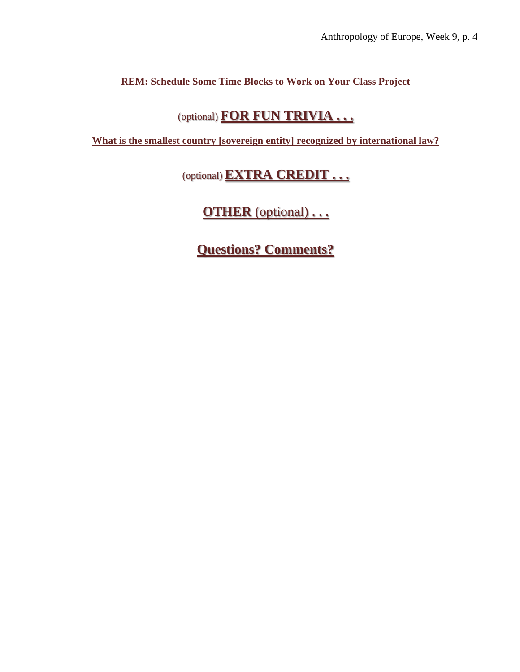#### **REM: Schedule Some Time Blocks to Work on Your Class Project**

### (optional) **[FOR FUN TRIVIA . . .](#page-10-0)**

**[What is the smallest country \[sovereign entity\] recognized by international law?](https://canvas.umn.edu/courses/282731/modules/items/6597916)**

(optional) **[EXTRA CREDIT . . .](#page-11-0)**

**OTHER** [\(optional\)](#page-11-1) **. . .**

**[Questions? Comments?](#page-11-2)**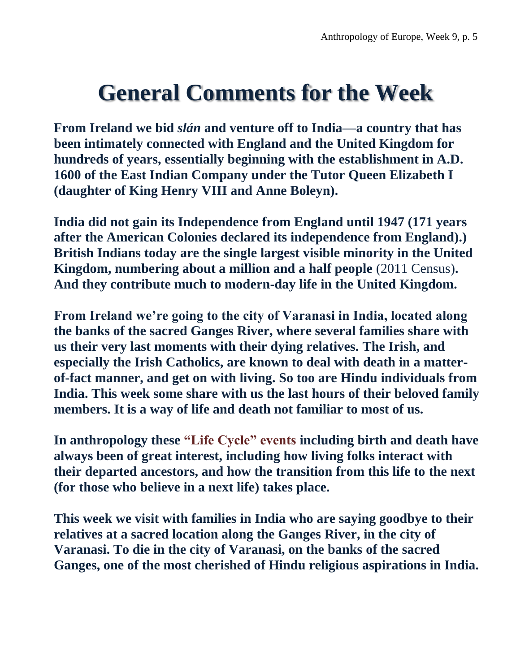# <span id="page-4-0"></span>**General Comments for the Week**

**From Ireland we bid** *slán* **and venture off to India—a country that has been intimately connected with England and the United Kingdom for hundreds of years, essentially beginning with the establishment in A.D. 1600 of the East Indian Company under the Tutor Queen Elizabeth I (daughter of King Henry VIII and Anne Boleyn).**

**India did not gain its Independence from England until 1947 (171 years after the American Colonies declared its independence from England).) British Indians today are the single largest visible minority in the United Kingdom, numbering about a million and a half people** (2011 Census)**. And they contribute much to modern-day life in the United Kingdom.**

**From Ireland we're going to the city of Varanasi in India, located along the banks of the sacred Ganges River, where several families share with us their very last moments with their dying relatives. The Irish, and especially the Irish Catholics, are known to deal with death in a matterof-fact manner, and get on with living. So too are Hindu individuals from India. This week some share with us the last hours of their beloved family members. It is a way of life and death not familiar to most of us.**

**In anthropology these "Life Cycle" events including birth and death have always been of great interest, including how living folks interact with their departed ancestors, and how the transition from this life to the next (for those who believe in a next life) takes place.** 

**This week we visit with families in India who are saying goodbye to their relatives at a sacred location along the Ganges River, in the city of Varanasi. To die in the city of Varanasi, on the banks of the sacred Ganges, one of the most cherished of Hindu religious aspirations in India.**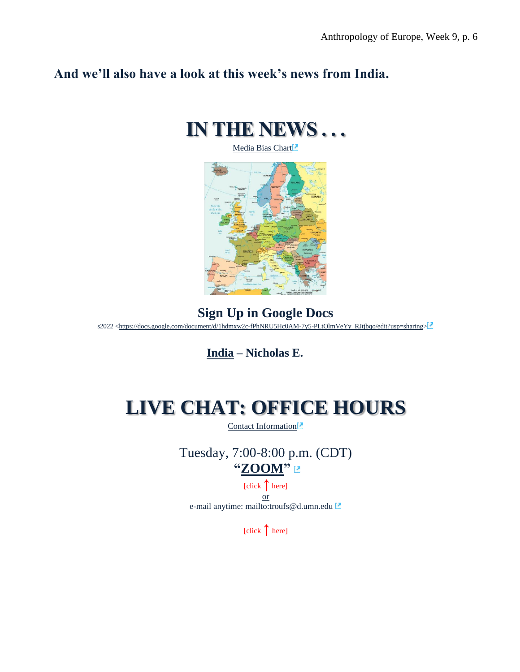### <span id="page-5-0"></span>**And we'll also have a look at this week's news from India.**



[Media Bias Chart](https://www.d.umn.edu/cla/faculty/troufs/anth4616/cpalternativefacts.html#mediabiaschart)<sup>7</sup>



### **Sign Up in Google Docs**

s2022 [<https://docs.google.com/document/d/1hdmxw2c-fPhNRU5Hc0AM-7y5-PLtOlmVeYy\\_RJtjbqo/edit?usp=sharing>](https://docs.google.com/document/d/1hdmxw2c-fPhNRU5Hc0AM-7y5-PLtOlmVeYy_RJtjbqo/edit?usp=sharing)

**[India](https://www.d.umn.edu/cla/faculty/troufs/anth1095/India.html#project_sources) – Nicholas E.**

# <span id="page-5-1"></span>**LIVE CHAT: OFFICE HOURS**

[Contact Information](http://www.d.umn.edu/cla/faculty/troufs/anth1602/pcoffice.html#title)<sup>[2]</sup>

Tuesday, 7:00-8:00 p.m. (CDT) **["ZOOM"](https://umn.zoom.us/my/troufs)** 

[click **↑** here] or e-mail anytime: <mailto:troufs@d.umn.edu>

[click **↑** here]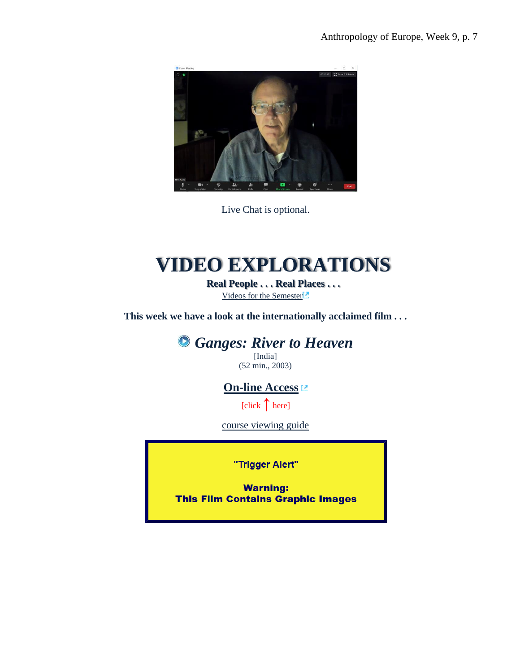

Live Chat is optional.

# **VIDEO EXPLORATIONS**

**Real People . . . Real Places . . .** [Videos for the Semester](https://www.d.umn.edu/cla/faculty/troufs/anth3635/cevideo_schedule.html#title)

<span id="page-6-1"></span><span id="page-6-0"></span>**This week we have a look at the internationally acclaimed film . . .**

*Ganges: River to Heaven*

[India] (52 min., 2003)

**[On-line Access](https://primo.lib.umn.edu/permalink/f/1pdpbuc/UMN_ALMA51714178830001701)**

[click ↑ here]

[course viewing guide](Ganges:%20River%20to%20Heaven)

"Trigger Alert"

**Warning: This Film Contains Graphic Images**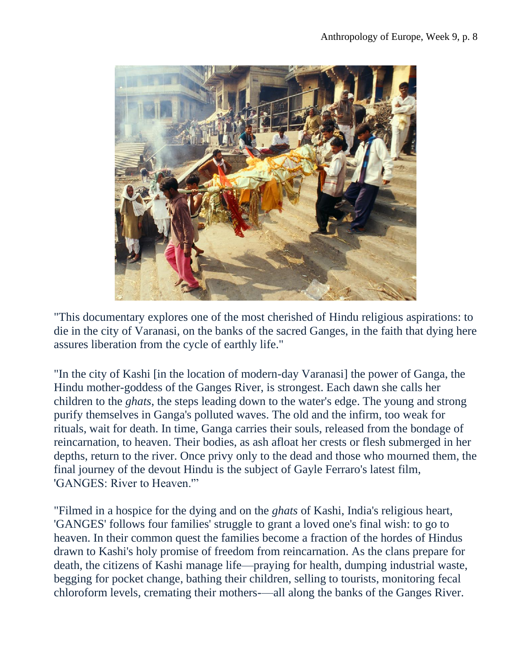

"This documentary explores one of the most cherished of Hindu religious aspirations: to die in the city of Varanasi, on the banks of the sacred Ganges, in the faith that dying here assures liberation from the cycle of earthly life."

"In the city of Kashi [in the location of modern-day Varanasi] the power of Ganga, the Hindu mother-goddess of the Ganges River, is strongest. Each dawn she calls her children to the *ghats*, the steps leading down to the water's edge. The young and strong purify themselves in Ganga's polluted waves. The old and the infirm, too weak for rituals, wait for death. In time, Ganga carries their souls, released from the bondage of reincarnation, to heaven. Their bodies, as ash afloat her crests or flesh submerged in her depths, return to the river. Once privy only to the dead and those who mourned them, the final journey of the devout Hindu is the subject of Gayle Ferraro's latest film, 'GANGES: River to Heaven.'"

"Filmed in a hospice for the dying and on the *ghats* of Kashi, India's religious heart, 'GANGES' follows four families' struggle to grant a loved one's final wish: to go to heaven. In their common quest the families become a fraction of the hordes of Hindus drawn to Kashi's holy promise of freedom from reincarnation. As the clans prepare for death, the citizens of Kashi manage life—praying for health, dumping industrial waste, begging for pocket change, bathing their children, selling to tourists, monitoring fecal chloroform levels, cremating their mothers-—all along the banks of the Ganges River.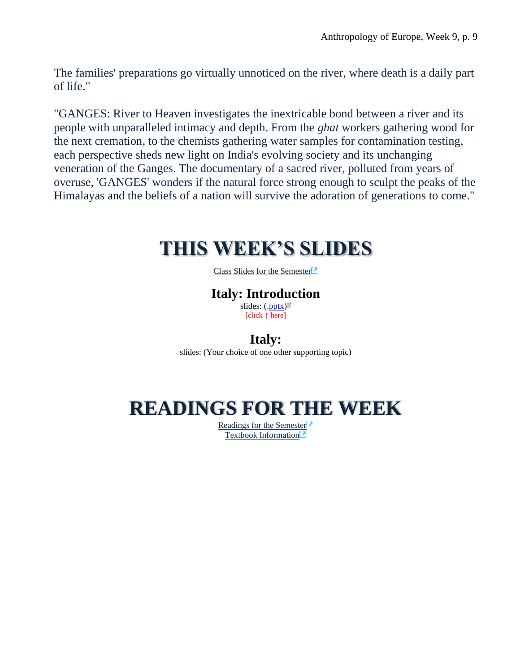The families' preparations go virtually unnoticed on the river, where death is a daily part of life."

"GANGES: River to Heaven investigates the inextricable bond between a river and its people with unparalleled intimacy and depth. From the *ghat* workers gathering wood for the next cremation, to the chemists gathering water samples for contamination testing, each perspective sheds new light on India's evolving society and its unchanging veneration of the Ganges. The documentary of a sacred river, polluted from years of overuse, 'GANGES' wonders if the natural force strong enough to sculpt the peaks of the Himalayas and the beliefs of a nation will survive the adoration of generations to come."

## <span id="page-8-0"></span>**THIS WEEK'S SLIDES**

[Class Slides for the Semester](https://www.d.umn.edu/cla/faculty/troufs/anth3635/ceslides.html#title)<sup>1</sup>

### **Italy: Introduction**

slides:  $(\text{.pptx})^{\mathbb{Z}}$ [click **↑** here]

#### **Italy:**

slides: (Your choice of one other supporting topic)

# <span id="page-8-1"></span>**READINGS FOR THE WEEK**

[Readings for the Semester](https://www.d.umn.edu/cla/faculty/troufs/anth3635/ceread-s.html#title)<sup>1</sup> [Textbook Information](https://www.d.umn.edu/cla/faculty/troufs/anth3635/cetexts.html#title)<sup>1</sup>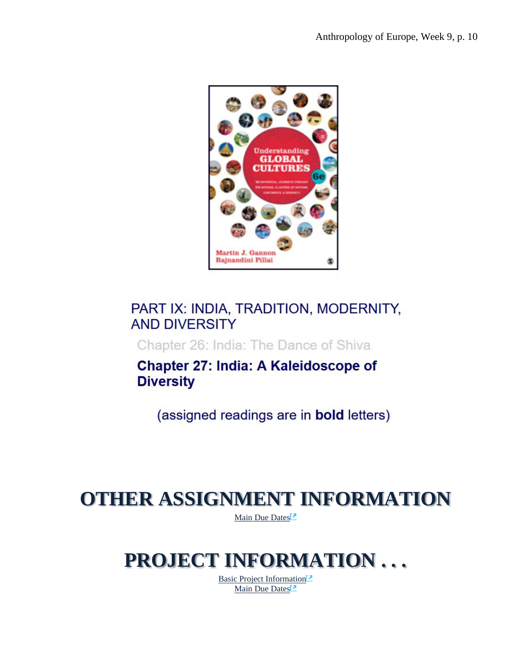

### PART IX: INDIA, TRADITION, MODERNITY, **AND DIVERSITY**

Chapter 26: India: The Dance of Shiva

**Chapter 27: India: A Kaleidoscope of Diversity** 

(assigned readings are in **bold** letters)

# <span id="page-9-1"></span><span id="page-9-0"></span>**OTHER ASSIGNMENT INFORMATION**

[Main Due Dates](https://www.d.umn.edu/cla/faculty/troufs/anth3635/cedue-dates.html#title)<sup>[2]</sup>

## **PROJECT INFORMATION . . .**

[Basic Project Information](https://www.d.umn.edu/cla/faculty/troufs/anth3635/ceproject.html#title)<sup>1</sup> [Main Due Dates](https://www.d.umn.edu/cla/faculty/troufs/anth3635/cedue-dates.html#title)<sup>[2]</sup>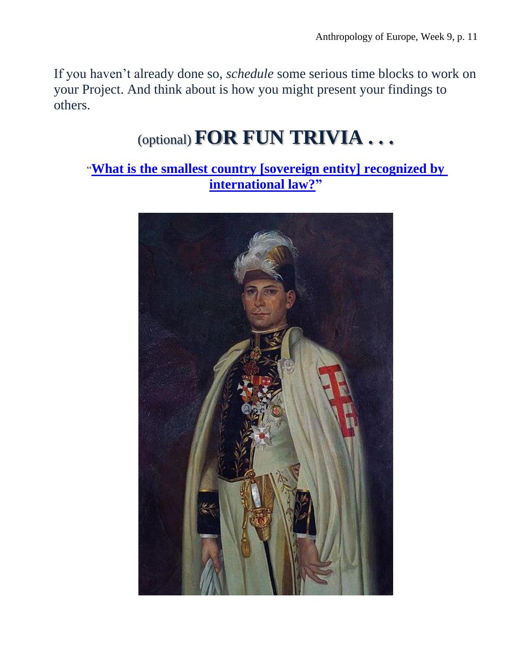<span id="page-10-0"></span>If you haven't already done so, *schedule* some serious time blocks to work on your Project. And think about is how you might present your findings to others.

# (optional) **FOR FUN TRIVIA . . .**

"**[What is the smallest country \[sovereign entity\]](https://canvas.umn.edu/courses/282731/modules/items/6597916) recognized by [international law?"](https://canvas.umn.edu/courses/282731/modules/items/6597916)**

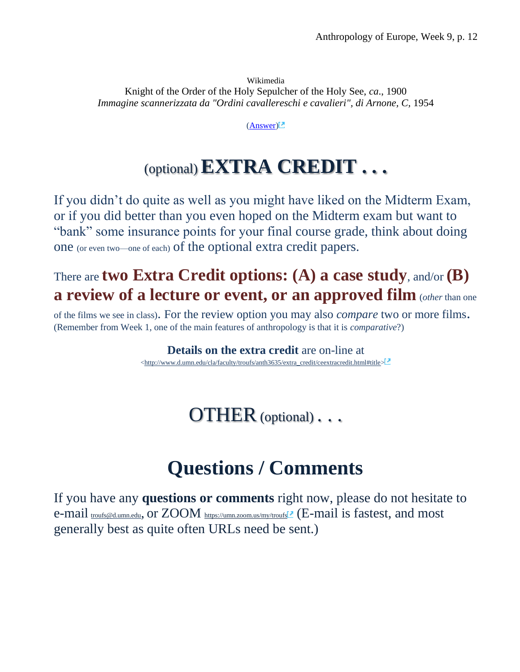<span id="page-11-0"></span>Wikimedia Knight of the Order of the Holy Sepulcher of the Holy See, *ca*., 1900 *Immagine scannerizzata da "Ordini cavallereschi e cavalieri", di Arnone, C, 1954* 

[\(Answer\)](https://www.d.umn.edu/cla/faculty/troufs/anth1095/trivia/gctrivia_smallest_country.html#answer)

# (optional)**EXTRA CREDIT . . .**

If you didn't do quite as well as you might have liked on the Midterm Exam, or if you did better than you even hoped on the Midterm exam but want to "bank" some insurance points for your final course grade, think about doing one (or even two—one of each) of the optional extra credit papers.

### There are **two Extra Credit options: (A) a case study**, and/or **(B) a review of a lecture or event, or an approved film** (*other* than one

<span id="page-11-1"></span>of the films we see in class). For the review option you may also *compare* two or more films. (Remember from Week 1, one of the main features of anthropology is that it is *comparative*?)

> **Details on the extra credit** are on-line at [<http://www.d.umn.edu/cla/faculty/troufs/anth3635/extra\\_credit/ceextracredit.html#title>](http://www.d.umn.edu/cla/faculty/troufs/anth3635/extra_credit/ceextracredit.html#title)

> > OTHER (optional) . . .

# **Questions / Comments**

<span id="page-11-2"></span>If you have any **questions or comments** right now, please do not hesitate to e-mail [troufs@d.umn.edu](mailto:troufs@d.umn.edu), or ZOOM <https://umn.zoom.us/my/troufs><sup>7</sup> (E-mail is fastest, and most generally best as quite often URLs need be sent.)